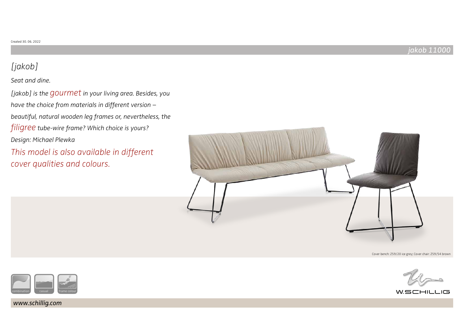# [jakob]

# Seat and dine.

[jakob] is the GOUI met in your living area. Besides, you have the choice from materials in different version – beautiful, natural wooden leg frames or, nevertheless, the filigree tube-wire frame? Which choice is yours? Design: Michael Plewka

This model is also available in different cover qualities and colours.



Cover bench: Z59/20 ice grey; Cover chair: Z59/54 brown



 $W$ SCHIL

www.schillig.com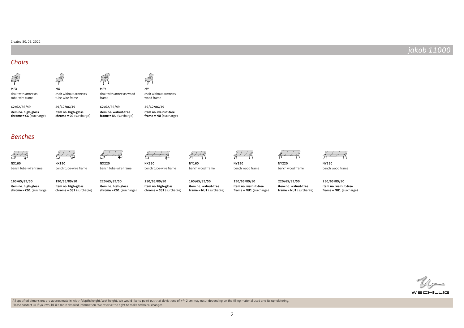#### Created 30. 06. 2022

### jakob 11000

### Chairs



chair with armrests tube-wire frame

 $\mathbb{R}^2$ MX

NX190

bench tube-wire frame



chair without armrests tube-wire frame

chair with armrests wood frame chair without armrests wood frame

**item no. high-gloss chrome = CG** (surcharge) 62/62/86/49

**item no. high-gloss chrome = CG** (surcharge) 49/62/86/49 62/62/86/49

MEY

**item no. walnut-tree frame = NU** (surcharge) **item no. walnut-tree frame = NU** (surcharge) 49/62/86/49

MY

NX250

 $\tilde{\tau}$ 

bench tube-wire frame



NY160

bench wood frame



bench wood frame





bench wood frame

NY250 bench wood frame

**item no. high-gloss chrome = CG1** (surcharge) 160/65/89/50

bench tube-wire frame

Benches

NX160

**item no. high-gloss chrome = CG1** (surcharge) 190/65/89/50 **item no. high-gloss**  220/65/89/50

NX220

bench tube-wire frame

**chrome = CG1** (surcharge) **item no. high-gloss chrome = CG1** (surcharge) 250/65/89/50

**item no. walnut-tree frame = NU1** (surcharge) 160/65/89/50

**item no. walnut-tree frame = NU1** (surcharge) 190/65/89/50 **item no. walnut-tree frame = NU1** (surcharge) 220/65/89/50

**item no. walnut-tree frame = NU1** (surcharge) 250/65/89/50



All specified dimensions are approximate in width/depth/height/seat height. We would like to point out that deviations of +/- 2 cm may occur depending on the filling material used and its upholstering. Please contact us if you would like more detailed information. We reserve the right to make technical changes.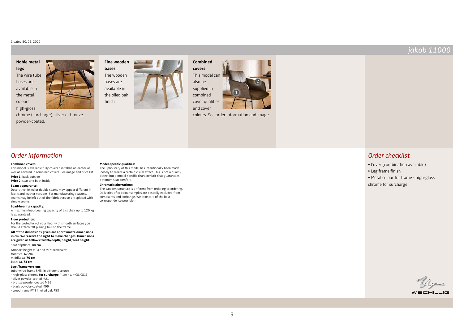#### Created 30. 06. 2022

#### **Noble metal legs**

The wire tube bases are available in the metal colours high-gloss



chrome (surcharge), silver or bronze powder-coated.







colours. See order information and image.

### Order information

#### **Combined covers:**

This model is available fully covered in fabric or leather as well as covered in combined covers. See image and price list. **Price 1:** back outside

#### **Price 2:** seat and back inside

#### **Seam appearance:**

Decorative, felled or double seams may appear different in fabric and leather versions. For manufacturing reasons, seams may be left out of the fabric version or replaced with simple seams.

#### **Load-bearing capacity:**

A maximum load-bearing capacity of this chair up to 120 kg is guaranteed.

#### **Floor protection:**

For the protection of your floor with smooth surfaces you should attach felt planing hull on the frame.

#### **All of the dimensions given are approximate dimensions in cm. We reserve the right to make changes. Dimensions are given as follows: width/depth/height/seat height.**

Seat depth: ca. **44 cm**

Armpart height MEX and MEY armchairs:

front: ca. **67 cm** middle: ca. **70 cm** back: ca. **73 cm**

#### **Leg-/frame versions:**

tube-wired frame FM5, in different colours

- high-gloss chrome **for surcharge** (item no. = CG, CG1)

- silver powder-coated M21

- bronze powder-coated M56

- black powder-coated M99 - wood frame FM8 in oiled oak P58

### **Model-specific qualities:**

The upholstery of this model has intentionally been made loosely to create a certain visual effect. This is not a quality defect but a model-specific characteristic that guarantees optimum seat comfort.

#### **Chromatic aberrations:**

The wooden structure is different from ordering to ordering. Deliveries after colour samples are basically excluded from complaints and exchange. We take care of the best correspondence possible.

### Order checklist

- Cover (combination available)
- Leg frame finish
- Metal colour for frame high-gloss chrome for surcharge



WSCHILLIG

## jakob 11000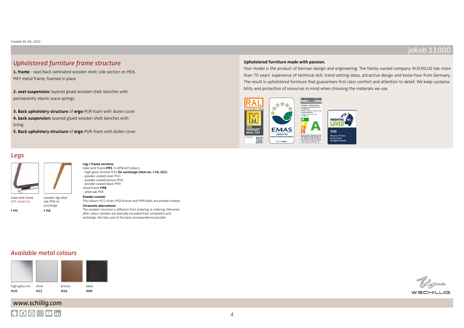### jakob 11000

### Upholstered furniture frame structure

**1. frame** - seat/back laminated wooden shell; side section on MEX, MEY metal frame, foamed in place

**2. seat suspension:** layered glued wooden shell; benches with permanently elastic wave springs

**3. Back upholstery structure** of **ergo**-PUR foam with diolen cover **4. back suspension:** layered glued wooden shell; benches with lining

**5. Back upholstery structure** of **ergo**-PUR-foam with diolen cover

**Leg-/ frame versions:**

# Legs

F M5



surcharge F M8

tube-wire frame **FM5**, in different colours - high-gloss chrome M20 **for surcharge (item no. = CG, CG1)** - powder-coated silver M21 - powder-coated bronze M56 - powder-coated black M99 wood frame **FM8** - oiled oak P58 **Powder-coated:** The colours M21 silver, M56 bronze and M99 black are powder-coated. **Chromatic aberrations:** The wooden structure is different from ordering to ordering. Deliveries after colour samples are basically excluded from complaints and

exchange. We take care of the best correspondence possible.

# **Upholstered furniture made with passion.**

Your model is the product of German design and engineering. The family-owned company W.SCHILLIG has more than 70 years' experience of technical skill, trend-setting ideas, attractive design and know-how from Germany. The result is upholstered furniture that guarantees first class comfort and attention to detail. We keep sustainability and protection of resources in mind when choosing the materials we use.



### Available metal colours



# www.schillig.com  $A$  $0$  $0$  $0$  $1$ in



 $W$ SCHILL